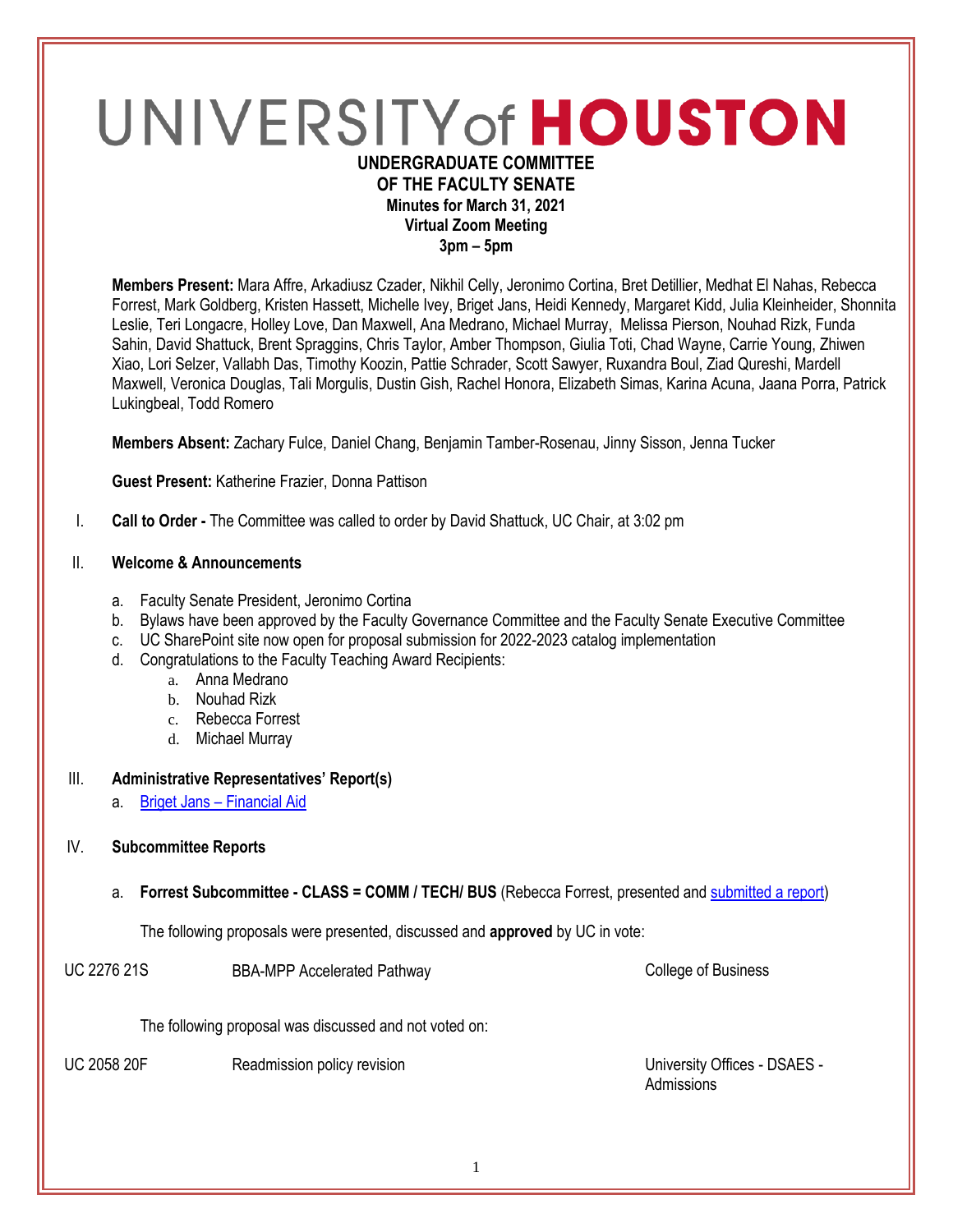# UNIVERSITY of HOUSTON **UNDERGRADUATE COMMITTEE**

# **OF THE FACULTY SENATE Minutes for March 31, 2021 Virtual Zoom Meeting**

**3pm – 5pm**

**Members Present:** Mara Affre, Arkadiusz Czader, Nikhil Celly, Jeronimo Cortina, Bret Detillier, Medhat El Nahas, Rebecca Forrest, Mark Goldberg, Kristen Hassett, Michelle Ivey, Briget Jans, Heidi Kennedy, Margaret Kidd, Julia Kleinheider, Shonnita Leslie, Teri Longacre, Holley Love, Dan Maxwell, Ana Medrano, Michael Murray, Melissa Pierson, Nouhad Rizk, Funda Sahin, David Shattuck, Brent Spraggins, Chris Taylor, Amber Thompson, Giulia Toti, Chad Wayne, Carrie Young, Zhiwen Xiao, Lori Selzer, Vallabh Das, Timothy Koozin, Pattie Schrader, Scott Sawyer, Ruxandra Boul, Ziad Qureshi, Mardell Maxwell, Veronica Douglas, Tali Morgulis, Dustin Gish, Rachel Honora, Elizabeth Simas, Karina Acuna, Jaana Porra, Patrick Lukingbeal, Todd Romero

**Members Absent:** Zachary Fulce, Daniel Chang, Benjamin Tamber-Rosenau, Jinny Sisson, Jenna Tucker

**Guest Present:** Katherine Frazier, Donna Pattison

I. **Call to Order -** The Committee was called to order by David Shattuck, UC Chair, at 3:02 pm

#### II. **Welcome & Announcements**

- a. Faculty Senate President, Jeronimo Cortina
- b. Bylaws have been approved by the Faculty Governance Committee and the Faculty Senate Executive Committee
- c. UC SharePoint site now open for proposal submission for 2022-2023 catalog implementation
- d. Congratulations to the Faculty Teaching Award Recipients:
	- a. Anna Medrano
	- b. Nouhad Rizk
	- c. Rebecca Forrest
	- d. Michael Murray

#### III. **Administrative Representatives' Report(s)**

a. Briget Jans – [Financial Aid](https://uofh.sharepoint.com/:p:/s/uc/admin/EU1iGRxpb3RNtRfVmGcCJL4Bp2-ExSn_wpN0NYm0zf0lNg?e=IKtFsS)

#### IV. **Subcommittee Reports**

a. **Forrest Subcommittee - CLASS = COMM / TECH/ BUS** (Rebecca Forrest, presented an[d submitted a report\)](https://uofh.sharepoint.com/:w:/s/uc/admin/EZn9k53BlwJBi_OoK9UtjSwBLR7mPypD5Lgej1z-1iIWsw?e=KQ8d1E)

The following proposals were presented, discussed and **approved** by UC in vote:

UC 2276 21S BBA-MPP Accelerated Pathway College of Business

The following proposal was discussed and not voted on:

UC 2058 20F Readmission policy revision Number 2015 8 University Offices - DSAES -Admissions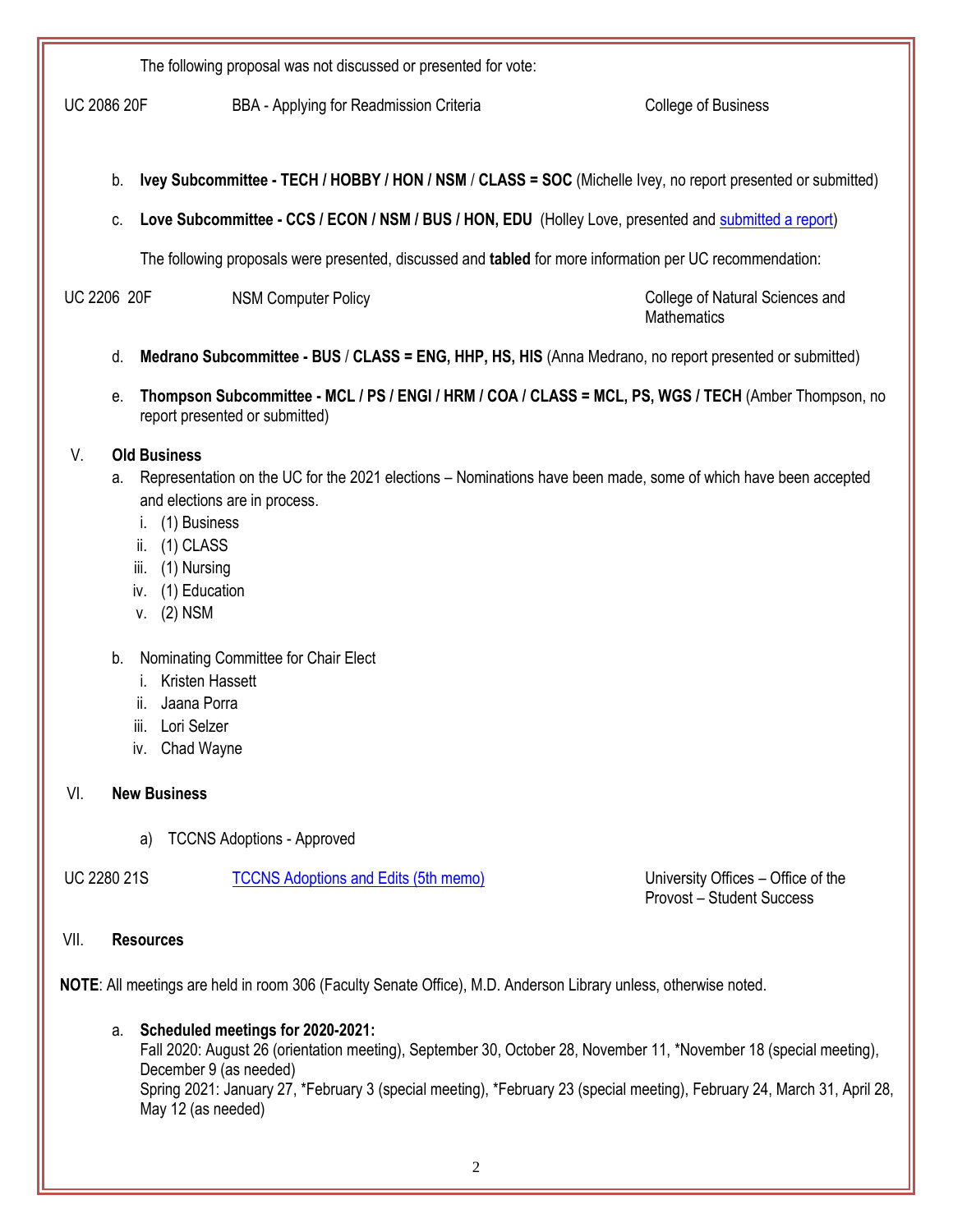The following proposal was not discussed or presented for vote:

UC 2086 20F BBA - Applying for Readmission Criteria College of Business

- b. **Ivey Subcommittee - TECH / HOBBY / HON / NSM** / **CLASS = SOC** (Michelle Ivey, no report presented or submitted)
- c. **Love Subcommittee - CCS / ECON / NSM / BUS / HON, EDU** (Holley Love, presented an[d submitted a report\)](https://uofh.sharepoint.com/:w:/s/uc/admin/EVlpxkLOad5JrSvsXH5dRMYBgb4-hpllXhQg4cJVPTpfKA?e=dcGhMZ)

The following proposals were presented, discussed and **tabled** for more information per UC recommendation:

UC 2206 20F NSM Computer Policy College of Natural Sciences and

**Mathematics** 

- d. **Medrano Subcommittee - BUS** / **CLASS = ENG, HHP, HS, HIS** (Anna Medrano, no report presented or submitted)
- e. **Thompson Subcommittee - MCL / PS / ENGI / HRM / COA / CLASS = MCL, PS, WGS / TECH** (Amber Thompson, no report presented or submitted)

#### V. **Old Business**

- a. Representation on the UC for the 2021 elections Nominations have been made, some of which have been accepted and elections are in process.
	- i. (1) Business
	- ii. (1) CLASS
	- iii. (1) Nursing
	- iv. (1) Education
	- v. (2) NSM
- b. Nominating Committee for Chair Elect
	- i. Kristen Hassett
	- ii. Jaana Porra
	- iii. Lori Selzer
	- iv. Chad Wayne

#### VI. **New Business**

a) TCCNS Adoptions - Approved

UC 2280 21S [TCCNS Adoptions and Edits \(5th memo\)](https://uofh.sharepoint.com/sites/uc/Lists/ProposalSubmissionAndTracking/DispForm.aspx?ID=2280&ct=1616618596674&or=OWA-NT&cid=727331d5-4c8c-7252-328d-10f54af6ca89&originalPath=aHR0cHM6Ly91b2ZoLnNoYXJlcG9pbnQuY29tLzpsaTovcy91Yy9FMVVER3lvMUQ0OUZyUU5rVVJTZTRQWUJFdkowd19RX2xBemhOYTZ2Z1B0alNBP3J0aW1lPXBzQWpkQVh2MkVn) University Offices – Office of the

Provost – Student Success

#### VII. **Resources**

**NOTE**: All meetings are held in room 306 (Faculty Senate Office), M.D. Anderson Library unless, otherwise noted.

# a. **Scheduled meetings for 2020-2021:**

Fall 2020: August 26 (orientation meeting), September 30, October 28, November 11, \*November 18 (special meeting), December 9 (as needed) Spring 2021: January 27, \*February 3 (special meeting), \*February 23 (special meeting), February 24, March 31, April 28, May 12 (as needed)